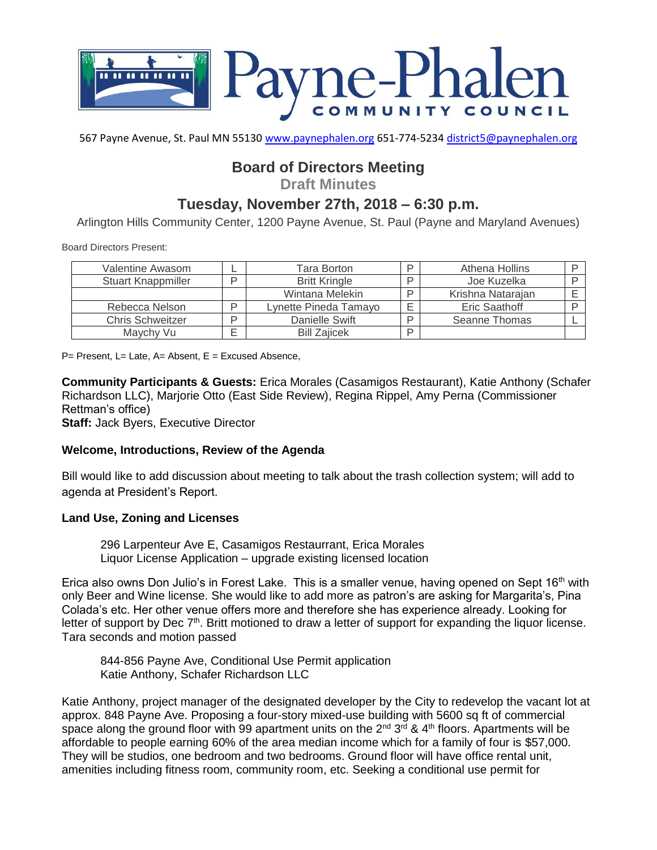

567 Payne Avenue, St. Paul MN 55130 [www.paynephalen.org](http://www.paynephalen.org/) 651-774-5234 [district5@paynephalen.org](mailto:district5@paynephalen.org)

# **Board of Directors Meeting**

**Draft Minutes**

## **Tuesday, November 27th, 2018 – 6:30 p.m.**

Arlington Hills Community Center, 1200 Payne Avenue, St. Paul (Payne and Maryland Avenues)

Board Directors Present:

| Valentine Awasom          |   | Tara Borton           | ח  | Athena Hollins    |  |
|---------------------------|---|-----------------------|----|-------------------|--|
| <b>Stuart Knappmiller</b> |   | <b>Britt Kringle</b>  | ח  | Joe Kuzelka       |  |
|                           |   | Wintana Melekin       | רו | Krishna Natarajan |  |
| Rebecca Nelson            | D | Lynette Pineda Tamayo |    | Eric Saathoff     |  |
| <b>Chris Schweitzer</b>   |   | Danielle Swift        |    | Seanne Thomas     |  |
| Maychy Vu                 |   | <b>Bill Zaiicek</b>   | D  |                   |  |

 $P=$  Present, L= Late, A= Absent, E = Excused Absence,

**Community Participants & Guests:** Erica Morales (Casamigos Restaurant), Katie Anthony (Schafer Richardson LLC), Marjorie Otto (East Side Review), Regina Rippel, Amy Perna (Commissioner Rettman's office)

**Staff:** Jack Byers, Executive Director

#### **Welcome, Introductions, Review of the Agenda**

Bill would like to add discussion about meeting to talk about the trash collection system; will add to agenda at President's Report.

#### **Land Use, Zoning and Licenses**

296 Larpenteur Ave E, Casamigos Restaurrant, Erica Morales Liquor License Application – upgrade existing licensed location

Erica also owns Don Julio's in Forest Lake. This is a smaller venue, having opened on Sept  $16<sup>th</sup>$  with only Beer and Wine license. She would like to add more as patron's are asking for Margarita's, Pina Colada's etc. Her other venue offers more and therefore she has experience already. Looking for letter of support by Dec  $7<sup>th</sup>$ . Britt motioned to draw a letter of support for expanding the liquor license. Tara seconds and motion passed

844-856 Payne Ave, Conditional Use Permit application Katie Anthony, Schafer Richardson LLC

Katie Anthony, project manager of the designated developer by the City to redevelop the vacant lot at approx. 848 Payne Ave. Proposing a four-story mixed-use building with 5600 sq ft of commercial space along the ground floor with 99 apartment units on the  $2^{nd}$   $3^{rd}$  & 4<sup>th</sup> floors. Apartments will be affordable to people earning 60% of the area median income which for a family of four is \$57,000. They will be studios, one bedroom and two bedrooms. Ground floor will have office rental unit, amenities including fitness room, community room, etc. Seeking a conditional use permit for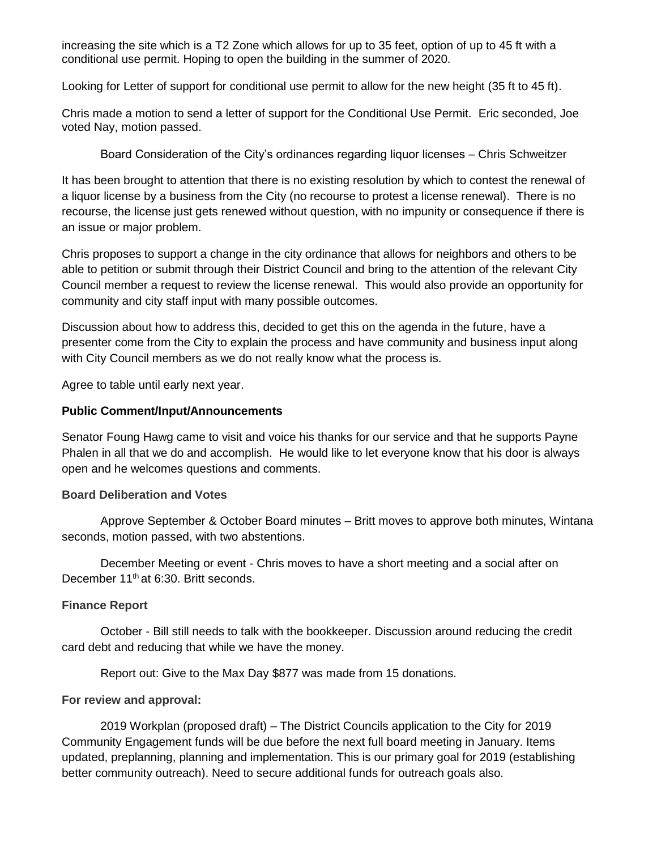increasing the site which is a T2 Zone which allows for up to 35 feet, option of up to 45 ft with a conditional use permit. Hoping to open the building in the summer of 2020.

Looking for Letter of support for conditional use permit to allow for the new height (35 ft to 45 ft).

Chris made a motion to send a letter of support for the Conditional Use Permit. Eric seconded, Joe voted Nay, motion passed.

Board Consideration of the City's ordinances regarding liquor licenses – Chris Schweitzer

It has been brought to attention that there is no existing resolution by which to contest the renewal of a liquor license by a business from the City (no recourse to protest a license renewal). There is no recourse, the license just gets renewed without question, with no impunity or consequence if there is an issue or major problem.

Chris proposes to support a change in the city ordinance that allows for neighbors and others to be able to petition or submit through their District Council and bring to the attention of the relevant City Council member a request to review the license renewal. This would also provide an opportunity for community and city staff input with many possible outcomes.

Discussion about how to address this, decided to get this on the agenda in the future, have a presenter come from the City to explain the process and have community and business input along with City Council members as we do not really know what the process is.

Agree to table until early next year.

#### **Public Comment/Input/Announcements**

Senator Foung Hawg came to visit and voice his thanks for our service and that he supports Payne Phalen in all that we do and accomplish. He would like to let everyone know that his door is always open and he welcomes questions and comments.

## **Board Deliberation and Votes**

Approve September & October Board minutes – Britt moves to approve both minutes, Wintana seconds, motion passed, with two abstentions.

December Meeting or event - Chris moves to have a short meeting and a social after on December 11<sup>th</sup> at 6:30. Britt seconds.

## **Finance Report**

October - Bill still needs to talk with the bookkeeper. Discussion around reducing the credit card debt and reducing that while we have the money.

Report out: Give to the Max Day \$877 was made from 15 donations.

#### **For review and approval:**

2019 Workplan (proposed draft) – The District Councils application to the City for 2019 Community Engagement funds will be due before the next full board meeting in January. Items updated, preplanning, planning and implementation. This is our primary goal for 2019 (establishing better community outreach). Need to secure additional funds for outreach goals also.